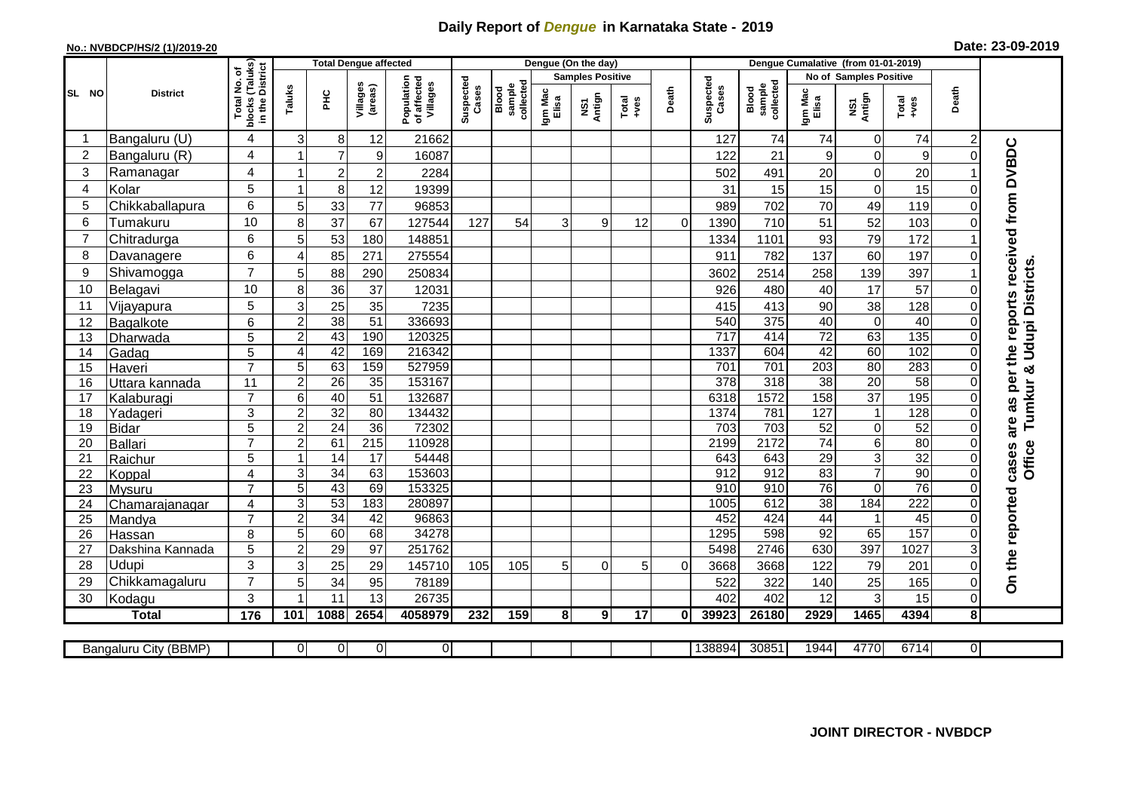## **Daily Report of** *Dengue* **in Karnataka State - 2019**

## **No.: NVBDCP/HS/2 (1)/2019-20**

| Date: 23-09-2019 |  |  |  |  |
|------------------|--|--|--|--|
|------------------|--|--|--|--|

|                | <b>Total Dengue affected</b> |                                                                              |                         |                 |                       | Dengue (On the day)                   |                    |                             |                  |               |                 |          | Dengue Cumalative (from 01-01-2019) |                              |                        |                 |                 |                |                                        |
|----------------|------------------------------|------------------------------------------------------------------------------|-------------------------|-----------------|-----------------------|---------------------------------------|--------------------|-----------------------------|------------------|---------------|-----------------|----------|-------------------------------------|------------------------------|------------------------|-----------------|-----------------|----------------|----------------------------------------|
|                |                              |                                                                              |                         |                 |                       |                                       |                    | <b>Samples Positive</b>     |                  |               |                 |          | <b>No of Samples Positive</b>       |                              |                        |                 |                 |                |                                        |
| SL NO          | <b>District</b>              | Total No. of<br>Jocks (Taluks)<br>in the District<br><b>blocks</b><br>in the | Taluks                  | <b>PHC</b>      | Villages<br>(areas)   | Population<br>of affected<br>Villages | Suspected<br>Cases | sample<br>collecte<br>Blood | Igm Mac<br>Elisa | NS1<br>Antign | Total<br>+ves   | Death    | Suspected<br>Cases                  | collected<br>sample<br>Blood | Igm Mad<br>Elisa       | NS1<br>Antign   | Total<br>$+ves$ | Death          |                                        |
|                | Bangaluru (U)                | $\overline{4}$                                                               | 3                       | 8               | 12                    | 21662                                 |                    |                             |                  |               |                 |          | 127                                 | 74                           | 74                     | $\mathbf 0$     | 74              |                |                                        |
| $\overline{2}$ | Bangaluru (R)                | 4                                                                            |                         | $\overline{7}$  | 9                     | 16087                                 |                    |                             |                  |               |                 |          | 122                                 | 21                           | 9                      | $\mathsf 0$     | 9               | $\Omega$       | as per the reports received from DVBDC |
| 3              | Ramanagar                    | 4                                                                            |                         | $\overline{2}$  | $\overline{c}$        | 2284                                  |                    |                             |                  |               |                 |          | 502                                 | 491                          | 20                     | $\mathsf 0$     | 20              |                |                                        |
| $\overline{4}$ | Kolar                        | 5                                                                            | $\overline{\mathbf{1}}$ | 8               | 12                    | 19399                                 |                    |                             |                  |               |                 |          | 31                                  | 15                           | 15                     | $\mathbf 0$     | 15              | $\Omega$       |                                        |
| 5              | Chikkaballapura              | 6                                                                            | 5                       | 33              | 77                    | 96853                                 |                    |                             |                  |               |                 |          | 989                                 | 702                          | 70                     | 49              | 119             |                |                                        |
| 6              | Tumakuru                     | 10                                                                           | 8                       | 37              | 67                    | 127544                                | 127                | 54                          | 3                | 9             | 12              | $\Omega$ | 1390                                | 710                          | 51                     | 52              | 103             |                |                                        |
| 7              | Chitradurga                  | 6                                                                            | 5                       | 53              | 180                   | 148851                                |                    |                             |                  |               |                 |          | 1334                                | 1101                         | 93                     | 79              | 172             |                |                                        |
| 8              | Davanagere                   | 6                                                                            | $\overline{4}$          | 85              | 271                   | 275554                                |                    |                             |                  |               |                 |          | 911                                 | 782                          | 137                    | 60              | 197             |                |                                        |
| 9              | Shivamogga                   | $\overline{7}$                                                               | 5                       | 88              | 290                   | 250834                                |                    |                             |                  |               |                 |          | 3602                                | 2514                         | 258                    | 139             | 397             |                | Tumkur & Udupi Districts.              |
| 10             | Belagavi                     | 10                                                                           | 8                       | 36              | 37                    | 12031                                 |                    |                             |                  |               |                 |          | 926                                 | 480                          | 40                     | 17              | 57              |                |                                        |
| 11             | Vijayapura                   | 5                                                                            | 3                       | 25              | 35                    | 7235                                  |                    |                             |                  |               |                 |          | 415                                 | 413                          | 90                     | 38              | 128             |                |                                        |
| 12             | Bagalkote                    | 6                                                                            | $\overline{2}$          | 38              | $\overline{51}$       | 336693                                |                    |                             |                  |               |                 |          | 540                                 | 375                          | 40                     | $\pmb{0}$       | 40              | $\Omega$       |                                        |
| 13             | Dharwada                     | 5                                                                            | $\overline{c}$          | 43              | 190                   | 120325                                |                    |                             |                  |               |                 |          | $\overline{717}$                    | 414                          | $\overline{72}$        | 63              | 135             |                |                                        |
| 14             | Gadag                        | 5                                                                            | 4                       | 42              | 169                   | 216342                                |                    |                             |                  |               |                 |          | 1337                                | 604                          | 42                     | 60              | 102             | $\Omega$       |                                        |
| 15             | Haveri                       | $\overline{7}$                                                               | 5                       | 63              | 159                   | 527959                                |                    |                             |                  |               |                 |          | 701                                 | 701                          | 203                    | $\overline{80}$ | 283             | $\Omega$       |                                        |
| 16             | Uttara kannada               | 11                                                                           | $\overline{2}$          | 26              | 35                    | 153167                                |                    |                             |                  |               |                 |          | 378                                 | 318                          | 38                     | 20              | 58              | $\Omega$       |                                        |
| 17             | Kalaburagi                   | $\overline{7}$                                                               | 6                       | 40              | 51                    | 132687                                |                    |                             |                  |               |                 |          | 6318                                | 1572                         | 158                    | $\overline{37}$ | 195             | 0              |                                        |
| 18             | Yadageri                     | 3                                                                            | $\overline{2}$          | 32              | 80                    | 134432                                |                    |                             |                  |               |                 |          | 1374                                | 781                          | 127                    | $\mathbf 1$     | 128             |                |                                        |
| 19             | <b>Bidar</b>                 | 5                                                                            | $\overline{c}$          | 24              | $\overline{36}$       | 72302                                 |                    |                             |                  |               |                 |          | 703                                 | 703                          | 52                     | $\mathbf 0$     | 52              | $\Omega$       | are                                    |
| 20             | Ballari                      | $\overline{7}$                                                               | $\overline{2}$          | 61              | $\overline{215}$      | 110928                                |                    |                             |                  |               |                 |          | 2199                                | 2172                         | $\overline{74}$        | $\overline{6}$  | 80              |                |                                        |
| 21             | Raichur                      | 5                                                                            |                         | $\overline{14}$ | 17                    | 54448                                 |                    |                             |                  |               |                 |          | 643                                 | 643                          | $\overline{29}$        | $\overline{3}$  | $\overline{32}$ | $\Omega$       | Office<br>cases                        |
| 22             | Koppal                       | $\overline{4}$                                                               | 3                       | 34              | 63                    | 153603                                |                    |                             |                  |               |                 |          | 912                                 | 912                          | 83                     | $\overline{7}$  | 90              | $\Omega$       |                                        |
| 23             | Mysuru                       | $\overline{7}$                                                               | 5                       | 43              | 69                    | 153325                                |                    |                             |                  |               |                 |          | 910                                 | 910                          | $\overline{76}$        | $\mathbf 0$     | 76              | $\Omega$       |                                        |
| 24             | Chamarajanagar               | $\overline{4}$                                                               | 3                       | 53              | 183                   | 280897                                |                    |                             |                  |               |                 |          | 1005                                | 612                          | $\overline{38}$        | 184             | 222             |                |                                        |
| 25             | Mandya                       | $\overline{7}$                                                               | $\overline{2}$          | $\overline{34}$ | 42                    | 96863                                 |                    |                             |                  |               |                 |          | 452                                 | 424                          | 44                     | $\mathbf 1$     | 45<br>157       |                |                                        |
| 26             | Hassan                       | 8                                                                            | 5<br>$\overline{c}$     | 60<br>29        | 68<br>$\overline{97}$ | 34278<br>251762                       |                    |                             |                  |               |                 |          | 1295<br>5498                        | 598<br>2746                  | $\overline{92}$<br>630 | 65<br>397       | 1027            |                |                                        |
| 27<br>28       | Dakshina Kannada<br>Udupi    | 5<br>3                                                                       | 3                       | 25              | 29                    | 145710                                | 105                | 105                         | 5                | 0             | 5               | $\Omega$ | 3668                                | 3668                         | 122                    | 79              | 201             | $\Omega$       |                                        |
| 29             | Chikkamagaluru               | $\overline{7}$                                                               | 5                       | 34              | 95                    | 78189                                 |                    |                             |                  |               |                 |          | 522                                 | 322                          | 140                    | 25              | 165             | $\Omega$       | On the reported                        |
| 30             | Kodagu                       | 3                                                                            |                         | 11              | 13                    | 26735                                 |                    |                             |                  |               |                 |          | 402                                 | 402                          | 12                     | 3               | 15              | 0              |                                        |
|                | <b>Total</b>                 | $\frac{1}{176}$                                                              | 101                     | 1088            | 2654                  | 4058979                               | 232                | 159                         | 8                | 9             | $\overline{17}$ | 0        | 39923                               | 26180                        | 2929                   | 1465            | 4394            | 8              |                                        |
|                |                              |                                                                              |                         |                 |                       |                                       |                    |                             |                  |               |                 |          |                                     |                              |                        |                 |                 |                |                                        |
|                | Bangaluru City (BBMP)        |                                                                              | 0                       | $\overline{0}$  | 0                     | $\overline{0}$                        |                    |                             |                  |               |                 |          | 138894                              | 30851                        | 1944                   | 4770            | 6714            | $\overline{0}$ |                                        |